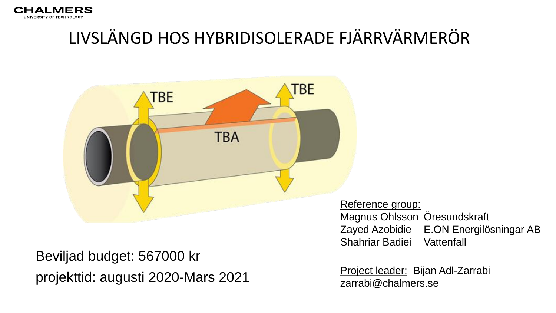

## LIVSLÄNGD HOS HYBRIDISOLERADE FJÄRRVÄRMERÖR



Beviljad budget: 567000 kr projekttid: augusti 2020-Mars 2021 Project leader: Bijan Adl-Zarrabi

Reference group: Magnus Ohlsson Öresundskraft Zayed Azobidie E.ON Energilösningar AB Shahriar Badiei Vattenfall

zarrabi@chalmers.se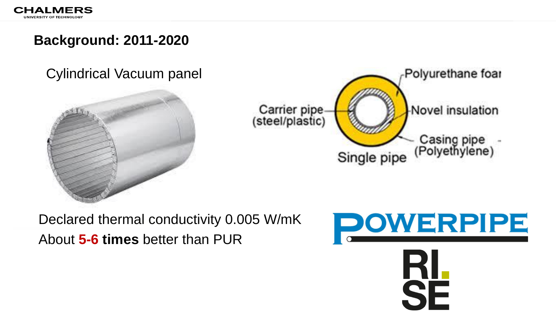## **Background: 2011-2020**

#### Cylindrical Vacuum panel





Declared thermal conductivity 0.005 W/mK About **5-6 times** better than PUR

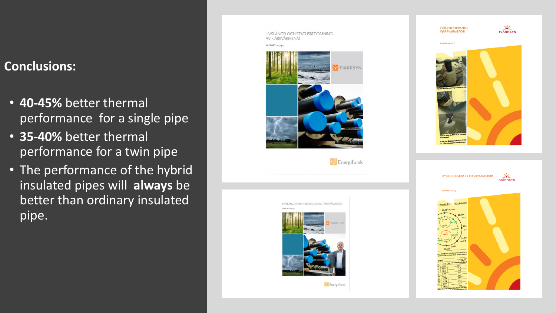#### **Conclusions:**

- **40-45%** better thermal performance for a single pipe
- **35-40%** better thermal performance for a twin pipe
- The performance of the hybrid insulated pipes will **always** be better than ordinary insulated pipe.





**C** Energiforsk



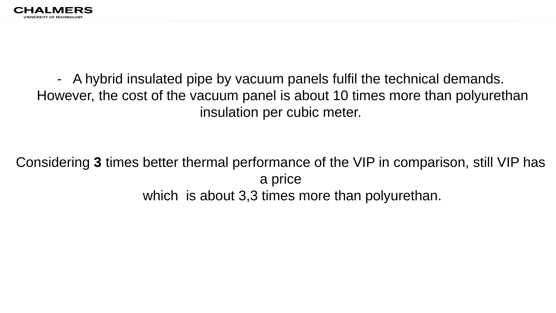

- A hybrid insulated pipe by vacuum panels fulfil the technical demands. However, the cost of the vacuum panel is about 10 times more than polyurethan insulation per cubic meter.

Considering **3** times better thermal performance of the VIP in comparison, still VIP has a price which is about 3,3 times more than polyurethan.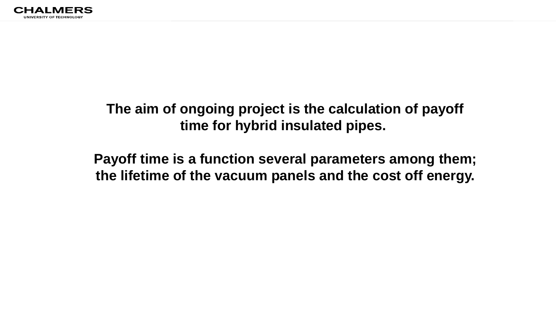

## **The aim of ongoing project is the calculation of payoff time for hybrid insulated pipes.**

**Payoff time is a function several parameters among them; the lifetime of the vacuum panels and the cost off energy.**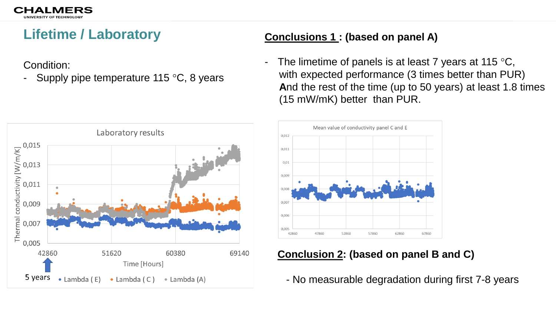## **Lifetime / Laboratory**

Condition:

Supply pipe temperature 115  $\degree$ C, 8 years

#### **Conclusions 1 : (based on panel A)**

- The limetime of panels is at least 7 years at 115  $\mathrm{^{\circ}C}$ , with expected performance (3 times better than PUR) **A**nd the rest of the time (up to 50 years) at least 1.8 times (15 mW/mK) better than PUR.





#### **Conclusion 2: (based on panel B and C)**

- No measurable degradation during first 7-8 years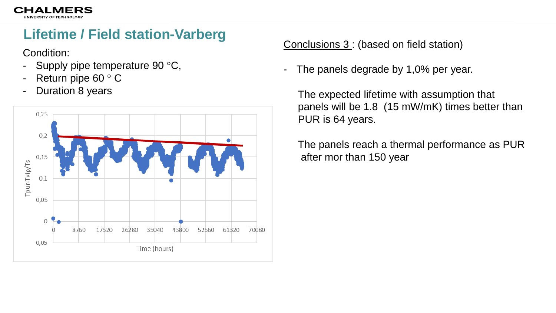

## **Lifetime / Field station-Varberg**

Condition:

- Supply pipe temperature 90 $\degree$ C,
- Return pipe  $60 °C$
- **Duration 8 years**



Conclusions 3 : (based on field station)

- The panels degrade by 1,0% per year.

The expected lifetime with assumption that panels will be 1.8 (15 mW/mK) times better than PUR is 64 years.

The panels reach a thermal performance as PUR after mor than 150 year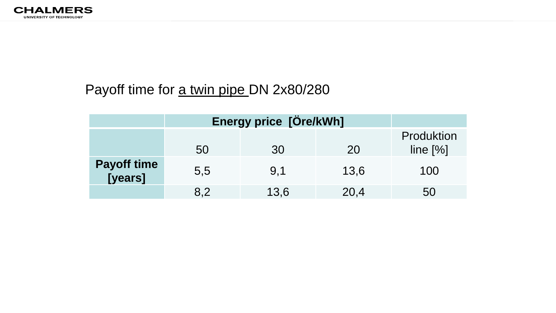

## Payoff time for a twin pipe DN 2x80/280

|                               | Energy price [Öre/kWh] |      |      |                          |
|-------------------------------|------------------------|------|------|--------------------------|
|                               | 50                     | .30  | 20   | Produktion<br>line $[%]$ |
| <b>Payoff time</b><br>[years] | 5,5                    | 9.1  | 13,6 | 100                      |
|                               | 8.2                    | 13,6 | 20,4 | 50                       |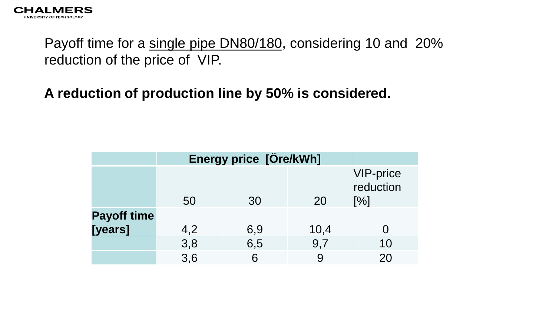

Payoff time for a single pipe DN80/180, considering 10 and 20% reduction of the price of VIP.

## **A reduction of production line by 50% is considered.**

|                    | Energy price [Öre/kWh] |     |      |                               |
|--------------------|------------------------|-----|------|-------------------------------|
|                    | 50                     | 30  | 20   | VIP-price<br>reduction<br>[%] |
| <b>Payoff time</b> |                        |     |      |                               |
| [years]            | 4,2                    | 6,9 | 10,4 |                               |
|                    | 3,8                    | 6,5 | 9,7  | 10                            |
|                    | 3,6                    | 6   |      | 20                            |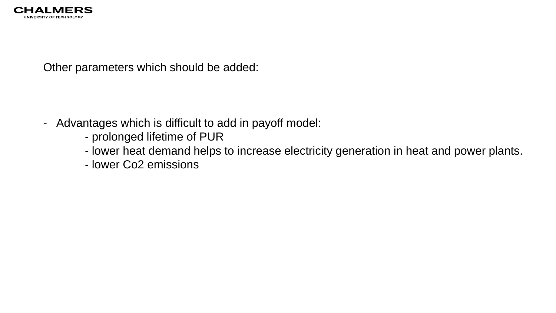Other parameters which should be added:

- Advantages which is difficult to add in payoff model:
	- prolonged lifetime of PUR
	- lower heat demand helps to increase electricity generation in heat and power plants.
	- lower Co2 emissions